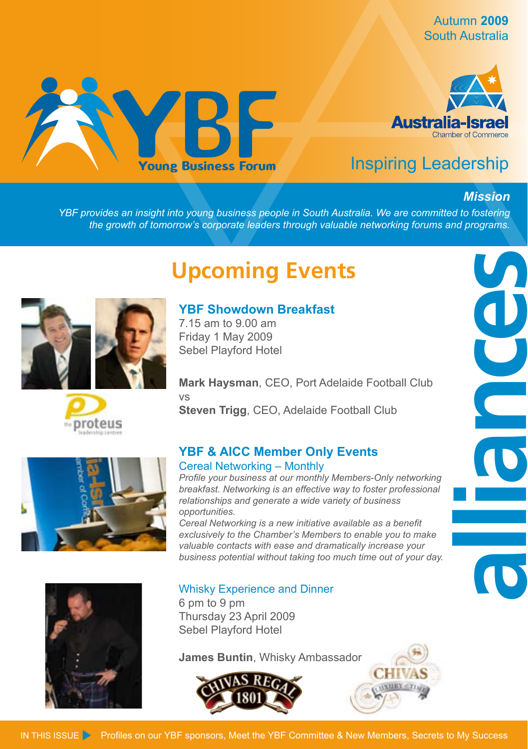Autumn **2009** South Australia





# Inspiring Leadership

#### *Mission*

*YBF provides an insight into young business people in South Australia. We are committed to fostering the growth of tomorrow's corporate leaders through valuable networking forums and programs.*

# **Upcoming Events**

**YBF Showdown Breakfast**

7.15 am to 9.00 am Friday 1 May 2009 Sebel Playford Hotel



**Mark Haysman**, CEO, Port Adelaide Football Club vs **Steven Trigg**, CEO, Adelaide Football Club



*Profile your business at our monthly Members-Only networking breakfast. Networking is an effective way to foster professional relationships and generate a wide variety of business opportunities.*

*Cereal Networking is a new initiative available as a benefit exclusively to the Chamber's Members to enable you to make valuable contacts with ease and dramatically increase your business potential without taking too much time out of your day.*



#### Whisky Experience and Dinner 6 pm to 9 pm Thursday 23 April 2009 Sebel Playford Hotel

**James Buntin**, Whisky Ambassador





# **alliances**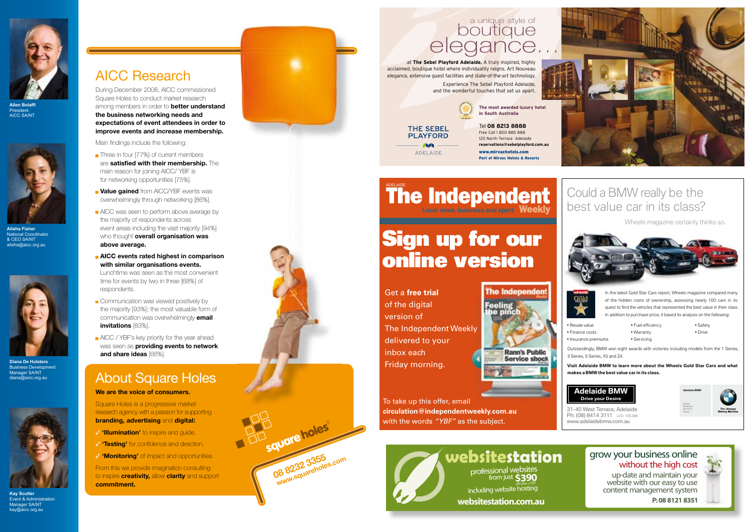

AICC Research

During December 2008, AICC commissioned Square Holes to conduct market research

**improve events and increase membership.**

 **AICC events rated highest in comparison with similar organisations events.** Lunchtime was seen as the most convenient time for events by two in three [68%] of

Communication was viewed positively by the majority [93%]; the most valuable form of communication was overwhelmingly **email** 

**AICC** / YBF's key priority for the year ahead was seen as **providing events to network** 

About Square Holes

**We are the voice of consumers.** Square Holes is a progressive market research agency with a passion for supporting **branding, advertising** and **digital:** ✓ **'Illumination'** to inspire and guide. **✓ 'Testing'** for confidence and direction. ✓ **'Monitoring'** of impact and opportunities. From this we provide imagination consulting to inspire **creativity,** allow **clarity** and support

**the business networking needs and** 

Main findings include the following: Three in four [77%] of current members are **satisfied with their membership.** The main reason for joining AICC/ YBF is for networking opportunities [75%]. **Value gained** from AICC/YBF events was overwhelmingly through networking [86%]. **AICC** was seen to perform above average by the majority of respondents across event areas including the vast majority [94%] who thought **overall organisation was** 

**above average.** 

respondents.

**invitations** [83%].

**commitment.**

**and share ideas** [66%].

**Allen Bolaffi** President AICC SA/NT



**Alisha Fisher** National Coordinato & CEO SA/NT alisha@aicc.org.au



**Diana De Hulsters** Business Development Manager SA/ND diana@aicc.org.au



**Kay Scutter** Event & Administration Manager SA/NT kay@aicc.org.au



**08 8232 3355 www.squareholes.com**

# a unique style of<br>boutique<br>elegance...

at **The Sebel Playford Adelaide.** A truly inspired, highly acclaimed, boutique hotel where individuality reigns. Art Nouveau elegance, extensive guest facilities and state-of-the-art technology.

Experience The Sebel Playford Adelaide, and the wonderful touches that set us apart.



Free Call 1 800 885 888 120 North Terrace Adelaide **reservations@sebelplayford.com.au**

www.mirvachotels.com Part of Mirvac Hotels & Resort

Could a BMW really be the best value car in its class?

**Local news, business and sport** ADELAIDE

# Sign up for our online version

Get a **free trial** of the digital version of The Independent Weekly delivered to your inbox each Friday morning.

THE SEBEL **PLAYFORD AA** ADELAIDE

**The Independent** 

• Resale value • Finance costs • Insurance premiums

In the latest Gold Star Cars report, Wheels magazine compared many of the hidden costs of ownership, assessing nearly 100 cars in its quest to find the vehicles that represented the best value in their class. In addition to purchase price, it based its analysis on the following:

Wheels magazine certainly thinks so.

 $\blacksquare$  Fuel efficiency • Warranty • Servicing

Outstandingly, BMW won eight awards with victories including models from the 1 Series, 3 Series, 5 Series, X5 and Z4.

**Visit Adelaide BMW to learn more about the Wheels Gold Star Cars and what makes a BMW the best value car in its class.**



www.adelaidebmw.com.au



 $\bullet$  Safety • Drive

UGP\_15366

# **websitestation** grow your business online without the high cost content management system



up-date and maintain your website with our easy to use **websitestation.com.au P:08 8121 8351**

To take up this offer, email **circulation@independentweekly.com.au** with the words *"YBF"* as the subject.

**Rann's Public Service shock** 

professional websites<br>from just **\$390** including website hosting

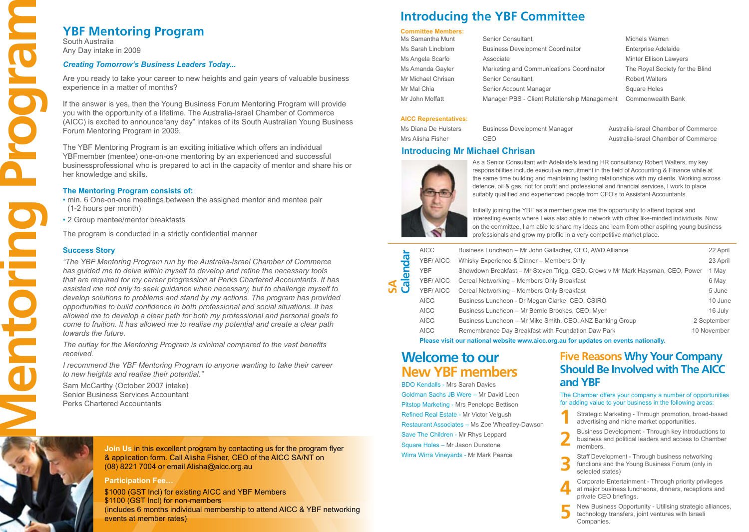South Australia Any Day intake in 2009

#### *Creating Tomorrow's Business Leaders Today...*

Are you ready to take your career to new heights and gain years of valuable business experience in a matter of months?

If the answer is yes, then the Young Business Forum Mentoring Program will provide you with the opportunity of a lifetime. The Australia-Israel Chamber of Commerce (AICC) is excited to announce"any day" intakes of its South Australian Young Business Forum Mentoring Program in 2009.

The YBF Mentoring Program is an exciting initiative which offers an individual YBFmember (mentee) one-on-one mentoring by an experienced and successful businessprofessional who is prepared to act in the capacity of mentor and share his or her knowledge and skills.

#### **The Mentoring Program consists of:**

• min. 6 One-on-one meetings between the assigned mentor and mentee pair (1-2 hours per month)

• 2 Group mentee/mentor breakfasts

The program is conducted in a strictly confidential manner

#### **Success Story**

**YBF Mentoring Program**<br>
South Australia<br>
Any Day Intake in 2009<br>
Creating Temororw's Business Leaders<br>
Are you ready to take your career to new 1<br>
experience in a matter of months?<br>
The answer is yes, then the Young Busin *"The YBF Mentoring Program run by the Australia-Israel Chamber of Commerce has guided me to delve within myself to develop and refine the necessary tools that are required for my career progression at Perks Chartered Accountants. It has assisted me not only to seek guidance when necessary, but to challenge myself to develop solutions to problems and stand by my actions. The program has provided opportunities to build confidence in both professional and social situations. It has allowed me to develop a clear path for both my professional and personal goals to come to fruition. It has allowed me to realise my potential and create a clear path towards the future.* 

*The outlay for the Mentoring Program is minimal compared to the vast benefits received.* 

*I recommend the YBF Mentoring Program to anyone wanting to take their career to new heights and realise their potential."*

Sam McCarthy (October 2007 intake) Senior Business Services Accountant Perks Chartered Accountants

> **Join Us** in this excellent program by contacting us for the program flyer & application form. Call Alisha Fisher, CEO of the AICC SA/NT on (08) 8221 7004 or email Alisha@aicc.org.au

#### **Participation Fee…**

\$1000 (GST Incl) for existing AICC and YBF Members \$1100 (GST Incl) for non-members (includes 6 months individual membership to attend AICC & YBF networking events at member rates)

# **Introducing the YBF Committee**

## **Committee Members:**

| Ms Samantha Munt   | Senior Consultant                            | Michels Warren                  |
|--------------------|----------------------------------------------|---------------------------------|
| Ms Sarah Lindblom  | <b>Business Development Coordinator</b>      | <b>Enterprise Adelaide</b>      |
| Ms Angela Scarfo   | Associate                                    | Minter Ellison Lawyers          |
| Ms Amanda Gayler   | Marketing and Communications Coordinator     | The Royal Society for the Blind |
| Mr Michael Chrisan | Senior Consultant                            | <b>Robert Walters</b>           |
| Mr Mal Chia        | Senior Account Manager                       | Square Holes                    |
| Mr John Moffatt    | Manager PBS - Client Relationship Management | Commonwealth Bank               |

#### **AICC Representatives:**

Ms Diana De Hulsters Business Development Manager Australia-Israel Chamber of Commerce Mrs Alisha Fisher CEO CEO Australia-Israel Chamber of Commerce

#### **Introducing Mr Michael Chrisan**



As a Senior Consultant with Adelaide's leading HR consultancy Robert Walters, my key responsibilities include executive recruitment in the field of Accounting & Finance while at the same time building and maintaining lasting relationships with my clients. Working across defence, oil & gas, not for profit and professional and financial services, I work to place suitably qualified and experienced people from CFO's to Assistant Accountants.

Initially joining the YBF as a member gave me the opportunity to attend topical and interesting events where I was also able to network with other like-minded individuals. Now on the committee, I am able to share my ideas and learn from other aspiring young business professionals and grow my profile in a very competitive market place.

| <b>AICC</b><br>용<br>YBF/AICC<br><b>YBF</b><br>$\boldsymbol{\omega}$<br>YBF/AICC<br>న్ రె<br>YBF/AICC |                                            | Business Luncheon - Mr John Gallacher, CEO, AWD Alliance                       | 22 April    |
|------------------------------------------------------------------------------------------------------|--------------------------------------------|--------------------------------------------------------------------------------|-------------|
|                                                                                                      |                                            | Whisky Experience & Dinner - Members Only                                      | 23 April    |
|                                                                                                      |                                            | Showdown Breakfast - Mr Steven Trigg, CEO, Crows v Mr Mark Haysman, CEO, Power | 1 May       |
|                                                                                                      | Cereal Networking - Members Only Breakfast | 6 May                                                                          |             |
|                                                                                                      |                                            | Cereal Networking - Members Only Breakfast                                     | 5 June      |
|                                                                                                      | <b>AICC</b>                                | Business Luncheon - Dr Megan Clarke, CEO, CSIRO                                | 10 June     |
|                                                                                                      | <b>AICC</b>                                | Business Luncheon - Mr Bernie Brookes, CEO, Myer                               | 16 July     |
|                                                                                                      | <b>AICC</b>                                | Business Luncheon - Mr Mike Smith, CEO, ANZ Banking Group                      | 2 September |
|                                                                                                      | <b>AICC</b>                                | Remembrance Day Breakfast with Foundation Daw Park                             | 10 November |
|                                                                                                      |                                            |                                                                                |             |

**Please visit our national website www.aicc.org.au for updates on events nationally.**

# **Welcome to our New YBF members**

BDO Kendalls - Mrs Sarah Davies Goldman Sachs JB Were – Mr David Leon Pitstop Marketing - Mrs Penelope Bettison Refined Real Estate - Mr Victor Velgush Restaurant Associates – Ms Zoe Wheatley-Dawson Save The Children - Mr Rhys Leppard Square Holes – Mr Jason Dunstone Wirra Wirra Vineyards - Mr Mark Pearce

## **Five Reasons Why Your Company Should Be Involved with The AICC and YBF**

The Chamber offers your company a number of opportunities for adding value to your business in the following areas:

 Strategic Marketing - Through promotion, broad-based advertising and niche market opportunities. **1**

Business Development - Through key introductions to business and political leaders and access to Chamber members. **2**

- Staff Development Through business networking functions and the Young Business Forum (only in selected states) **3**
- Corporate Entertainment Through priority privileges at major business luncheons, dinners, receptions and private CEO briefings. **4**
- New Business Opportunity Utilising strategic alliances, technology transfers, joint ventures with Israeli Companies. **5**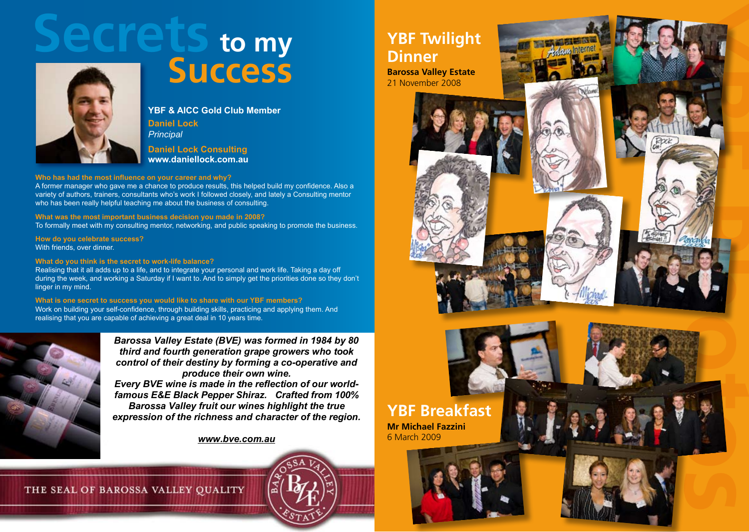



# **Success**

**YBF & AICC Gold Club Member Daniel Lock** *Principal*

**Daniel Lock Consulting www.daniellock.com.au** 

#### **Who has had the most influence on your career and why?**

A former manager who gave me a chance to produce results, this helped build my confidence. Also a variety of authors, trainers, consultants who's work I followed closely, and lately a Consulting mentor who has been really helpful teaching me about the business of consulting.

#### **What was the most important business decision you made in 2008?**

To formally meet with my consulting mentor, networking, and public speaking to promote the business.

**How do you celebrate success?** With friends, over dinner.

#### **What do you think is the secret to work-life balance?**

Realising that it all adds up to a life, and to integrate your personal and work life. Taking a day off during the week, and working a Saturday if I want to. And to simply get the priorities done so they don't linger in my mind.

#### **What is one secret to success you would like to share with our YBF members?**

Work on building your self-confidence, through building skills, practicing and applying them. And realising that you are capable of achieving a great deal in 10 years time.



*Barossa Valley Estate (BVE) was formed in 1984 by 80 third and fourth generation grape growers who took control of their destiny by forming a co-operative and produce their own wine. Every BVE wine is made in the reflection of our worldfamous E&E Black Pepper Shiraz. Crafted from 100% Barossa Valley fruit our wines highlight the true expression of the richness and character of the region.* 

*www.bve.com.au*

#### THE SEAL OF BAROSSA VALLEY QUALITY

# **YBF Twilight Dinner**

**Barossa Valley Estate**  21 November 2008